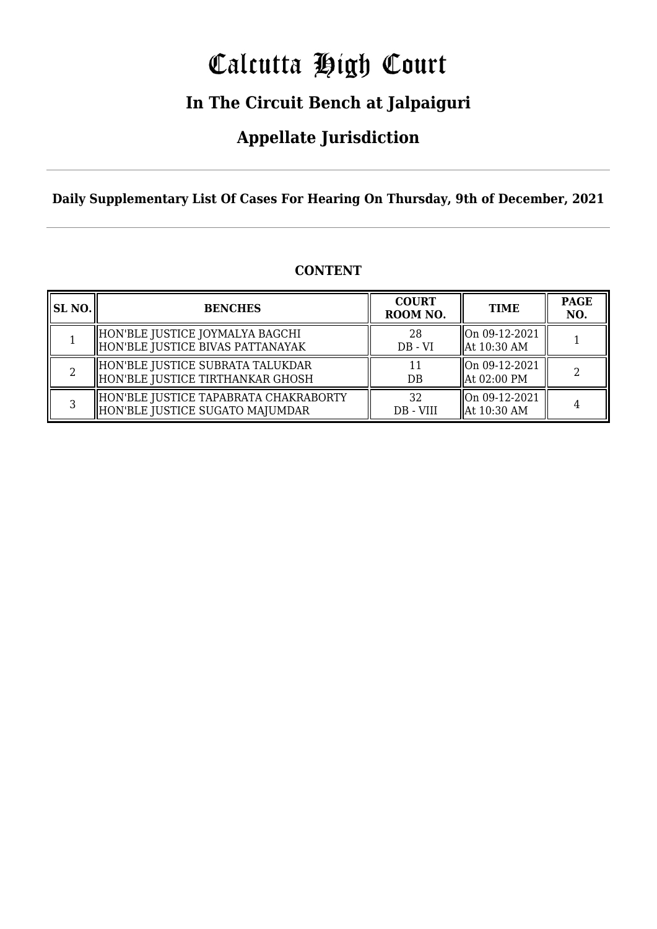# Calcutta High Court

### **In The Circuit Bench at Jalpaiguri**

### **Appellate Jurisdiction**

#### **Daily Supplementary List Of Cases For Hearing On Thursday, 9th of December, 2021**

| <b>SL NO.</b> | <b>BENCHES</b>                                                           | <b>COURT</b><br>ROOM NO. | <b>TIME</b>                                        | <b>PAGE</b><br>NO. |
|---------------|--------------------------------------------------------------------------|--------------------------|----------------------------------------------------|--------------------|
|               | HON'BLE JUSTICE JOYMALYA BAGCHI<br>HON'BLE JUSTICE BIVAS PATTANAYAK      | 28<br>$DB - VI$          | $\ln 09 - 12 - 2021$<br>$\parallel$ At 10:30 AM    |                    |
|               | HON'BLE JUSTICE SUBRATA TALUKDAR<br>HON'BLE JUSTICE TIRTHANKAR GHOSH     | DB                       | $\lfloor$ On 09-12-2021<br>$\parallel$ At 02:00 PM |                    |
|               | HON'BLE JUSTICE TAPABRATA CHAKRABORTY<br>HON'BLE JUSTICE SUGATO MAJUMDAR | 32<br>DB - VIII          | $\lfloor$ On 09-12-2021<br>$\parallel$ At 10:30 AM |                    |

#### **CONTENT**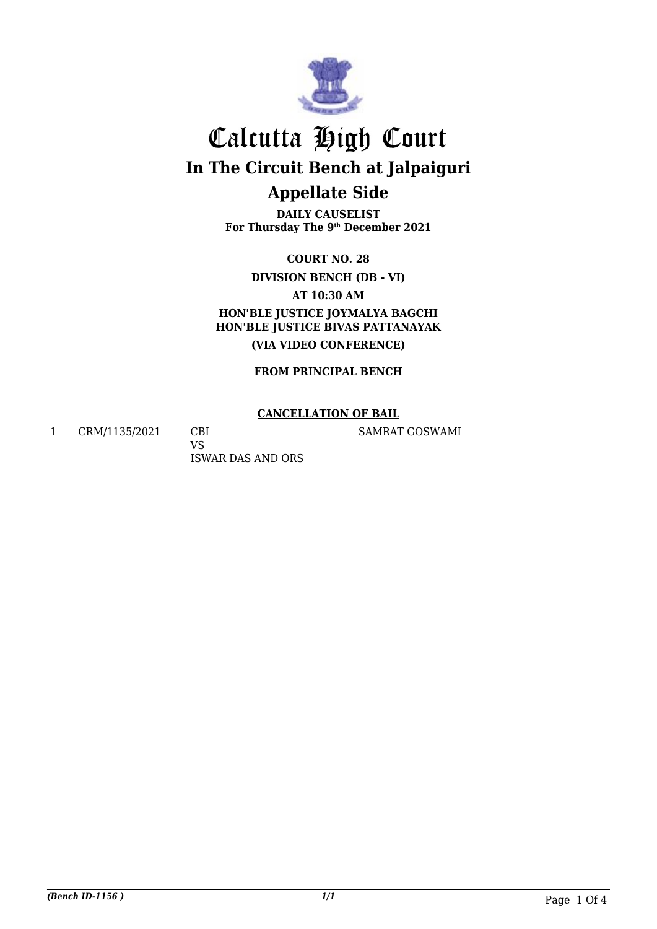

## Calcutta High Court **In The Circuit Bench at Jalpaiguri Appellate Side**

**DAILY CAUSELIST For Thursday The 9th December 2021**

**COURT NO. 28**

**DIVISION BENCH (DB - VI)**

**AT 10:30 AM**

**HON'BLE JUSTICE JOYMALYA BAGCHI HON'BLE JUSTICE BIVAS PATTANAYAK (VIA VIDEO CONFERENCE)**

**FROM PRINCIPAL BENCH**

#### **CANCELLATION OF BAIL**

SAMRAT GOSWAMI

1 CRM/1135/2021 CBI

VS ISWAR DAS AND ORS

*(Bench ID-1156 ) 1/1* Page 1 Of 4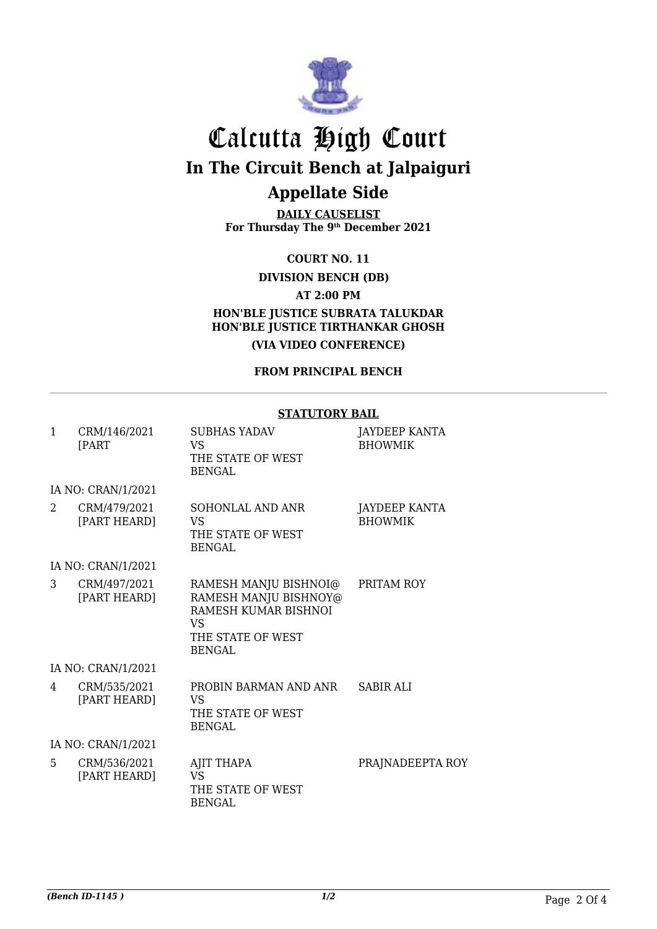

## Calcutta High Court **In The Circuit Bench at Jalpaiguri Appellate Side**

**DAILY CAUSELIST For Thursday The 9th December 2021**

**COURT NO. 11**

**DIVISION BENCH (DB)**

**AT 2:00 PM**

**HON'BLE JUSTICE SUBRATA TALUKDAR HON'BLE JUSTICE TIRTHANKAR GHOSH (VIA VIDEO CONFERENCE)**

**FROM PRINCIPAL BENCH**

#### **STATUTORY BAIL**

| 1                           | CRM/146/2021<br><b>FPART</b> | <b>SUBHAS YADAV</b><br>VS.<br>THE STATE OF WEST<br><b>BENGAL</b>                                                          | JAYDEEP KANTA<br><b>BHOWMIK</b> |
|-----------------------------|------------------------------|---------------------------------------------------------------------------------------------------------------------------|---------------------------------|
|                             | IA NO: CRAN/1/2021           |                                                                                                                           |                                 |
| $\mathcal{D}_{\mathcal{L}}$ | CRM/479/2021<br>[PART HEARD] | <b>SOHONLAL AND ANR</b><br>VS<br>THE STATE OF WEST<br><b>BENGAL</b>                                                       | JAYDEEP KANTA<br><b>BHOWMIK</b> |
|                             | IA NO: CRAN/1/2021           |                                                                                                                           |                                 |
| 3                           | CRM/497/2021<br>[PART HEARD] | RAMESH MANJU BISHNOI@<br>RAMESH MANJU BISHNOY@<br>RAMESH KUMAR BISHNOI<br><b>VS</b><br>THE STATE OF WEST<br><b>BENGAL</b> | PRITAM ROY                      |
|                             | IA NO: CRAN/1/2021           |                                                                                                                           |                                 |
| 4                           | CRM/535/2021<br>[PART HEARD] | PROBIN BARMAN AND ANR<br><b>VS</b><br>THE STATE OF WEST<br><b>BENGAL</b>                                                  | <b>SABIR ALI</b>                |
|                             | IA NO: CRAN/1/2021           |                                                                                                                           |                                 |
| 5                           | CRM/536/2021<br>[PART HEARD] | AJIT THAPA<br>VS<br>THE STATE OF WEST<br><b>BENGAL</b>                                                                    | PRAJNADEEPTA ROY                |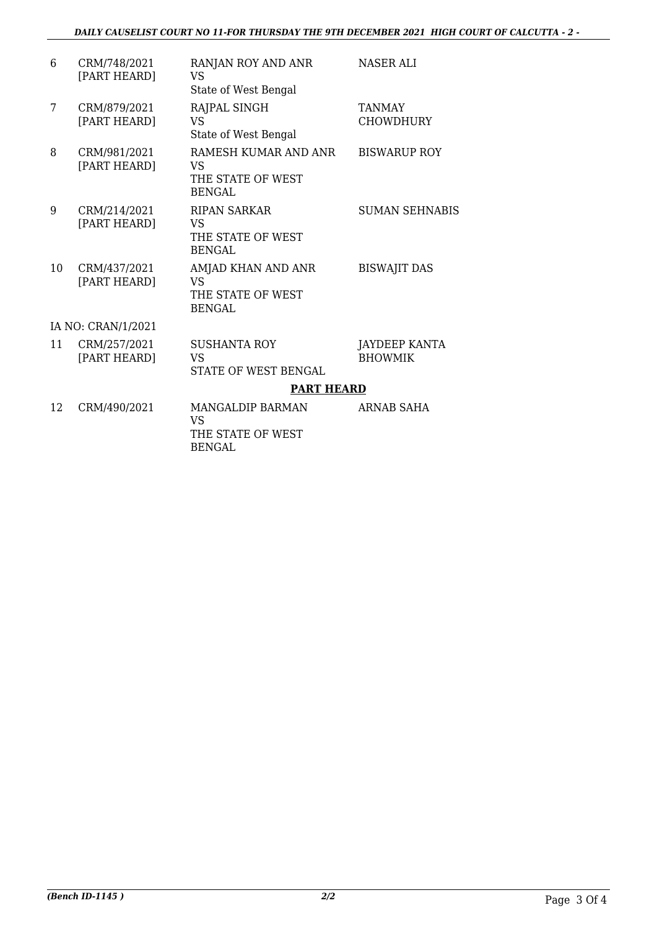| 6  | CRM/748/2021<br>[PART HEARD] | RANJAN ROY AND ANR<br><b>VS</b><br>State of West Bengal          | <b>NASER ALI</b>                       |
|----|------------------------------|------------------------------------------------------------------|----------------------------------------|
| 7  | CRM/879/2021<br>[PART HEARD] | RAJPAL SINGH<br><b>VS</b><br>State of West Bengal                | <b>TANMAY</b><br><b>CHOWDHURY</b>      |
| 8  | CRM/981/2021<br>[PART HEARD] | RAMESH KUMAR AND ANR<br>VS<br>THE STATE OF WEST<br><b>BENGAL</b> | <b>BISWARUP ROY</b>                    |
| 9  | CRM/214/2021<br>[PART HEARD] | <b>RIPAN SARKAR</b><br>VS<br>THE STATE OF WEST<br>BENGAL         | <b>SUMAN SEHNABIS</b>                  |
| 10 | CRM/437/2021<br>[PART HEARD] | AMJAD KHAN AND ANR<br>VS<br>THE STATE OF WEST<br><b>BENGAL</b>   | <b>BISWAJIT DAS</b>                    |
|    | IA NO: CRAN/1/2021           |                                                                  |                                        |
| 11 | CRM/257/2021<br>[PART HEARD] | <b>SUSHANTA ROY</b><br>VS<br><b>STATE OF WEST BENGAL</b>         | <b>JAYDEEP KANTA</b><br><b>BHOWMIK</b> |
|    |                              | <b>PART HEARD</b>                                                |                                        |
| 12 | CRM/490/2021                 | MANGALDIP BARMAN<br><b>VS</b><br>THE STATE OF WEST               | <b>ARNAB SAHA</b>                      |

BENGAL